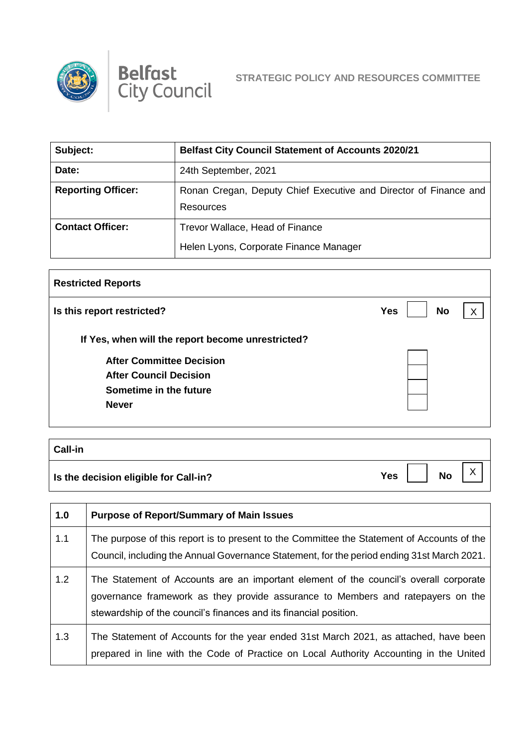



| Subject:                  | <b>Belfast City Council Statement of Accounts 2020/21</b>                     |
|---------------------------|-------------------------------------------------------------------------------|
| Date:                     | 24th September, 2021                                                          |
| <b>Reporting Officer:</b> | Ronan Cregan, Deputy Chief Executive and Director of Finance and<br>Resources |
| <b>Contact Officer:</b>   | Trevor Wallace, Head of Finance                                               |
|                           | Helen Lyons, Corporate Finance Manager                                        |

| <b>Restricted Reports</b>                         |                         |   |
|---------------------------------------------------|-------------------------|---|
| Is this report restricted?                        | <b>No</b><br><b>Yes</b> | X |
| If Yes, when will the report become unrestricted? |                         |   |
| <b>After Committee Decision</b>                   |                         |   |
| <b>After Council Decision</b>                     |                         |   |
| Sometime in the future                            |                         |   |
| <b>Never</b>                                      |                         |   |
|                                                   |                         |   |
|                                                   |                         |   |

| <b>Call-in</b>                        |     |           |   |
|---------------------------------------|-----|-----------|---|
| Is the decision eligible for Call-in? | Yes | <b>No</b> | ⌒ |

| 1.0 | <b>Purpose of Report/Summary of Main Issues</b>                                                                                                                                                                                               |
|-----|-----------------------------------------------------------------------------------------------------------------------------------------------------------------------------------------------------------------------------------------------|
| 1.1 | The purpose of this report is to present to the Committee the Statement of Accounts of the<br>Council, including the Annual Governance Statement, for the period ending 31st March 2021.                                                      |
| 1.2 | The Statement of Accounts are an important element of the council's overall corporate<br>governance framework as they provide assurance to Members and ratepayers on the<br>stewardship of the council's finances and its financial position. |
| 1.3 | The Statement of Accounts for the year ended 31st March 2021, as attached, have been<br>prepared in line with the Code of Practice on Local Authority Accounting in the United                                                                |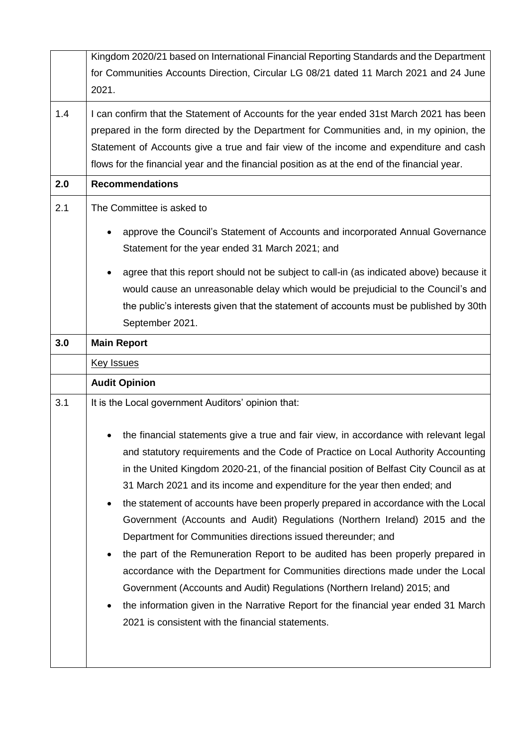|     | Kingdom 2020/21 based on International Financial Reporting Standards and the Department      |  |  |  |
|-----|----------------------------------------------------------------------------------------------|--|--|--|
|     | for Communities Accounts Direction, Circular LG 08/21 dated 11 March 2021 and 24 June        |  |  |  |
|     | 2021.                                                                                        |  |  |  |
|     |                                                                                              |  |  |  |
| 1.4 | I can confirm that the Statement of Accounts for the year ended 31st March 2021 has been     |  |  |  |
|     | prepared in the form directed by the Department for Communities and, in my opinion, the      |  |  |  |
|     | Statement of Accounts give a true and fair view of the income and expenditure and cash       |  |  |  |
|     | flows for the financial year and the financial position as at the end of the financial year. |  |  |  |
| 2.0 | <b>Recommendations</b>                                                                       |  |  |  |
| 2.1 | The Committee is asked to                                                                    |  |  |  |
|     | approve the Council's Statement of Accounts and incorporated Annual Governance               |  |  |  |
|     | Statement for the year ended 31 March 2021; and                                              |  |  |  |
|     | agree that this report should not be subject to call-in (as indicated above) because it      |  |  |  |
|     | would cause an unreasonable delay which would be prejudicial to the Council's and            |  |  |  |
|     | the public's interests given that the statement of accounts must be published by 30th        |  |  |  |
|     | September 2021.                                                                              |  |  |  |
|     |                                                                                              |  |  |  |
| 3.0 | <b>Main Report</b>                                                                           |  |  |  |
|     | <b>Key Issues</b>                                                                            |  |  |  |
|     | <b>Audit Opinion</b>                                                                         |  |  |  |
| 3.1 | It is the Local government Auditors' opinion that:                                           |  |  |  |
|     |                                                                                              |  |  |  |
|     | the financial statements give a true and fair view, in accordance with relevant legal        |  |  |  |
|     | and statutory requirements and the Code of Practice on Local Authority Accounting            |  |  |  |
|     | in the United Kingdom 2020-21, of the financial position of Belfast City Council as at       |  |  |  |
|     | 31 March 2021 and its income and expenditure for the year then ended; and                    |  |  |  |
|     | the statement of accounts have been properly prepared in accordance with the Local           |  |  |  |
|     | Government (Accounts and Audit) Regulations (Northern Ireland) 2015 and the                  |  |  |  |
|     | Department for Communities directions issued thereunder; and                                 |  |  |  |
|     | the part of the Remuneration Report to be audited has been properly prepared in              |  |  |  |
|     | accordance with the Department for Communities directions made under the Local               |  |  |  |
|     | Government (Accounts and Audit) Regulations (Northern Ireland) 2015; and                     |  |  |  |
|     |                                                                                              |  |  |  |
|     | the information given in the Narrative Report for the financial year ended 31 March          |  |  |  |
|     | 2021 is consistent with the financial statements.                                            |  |  |  |
|     |                                                                                              |  |  |  |
|     |                                                                                              |  |  |  |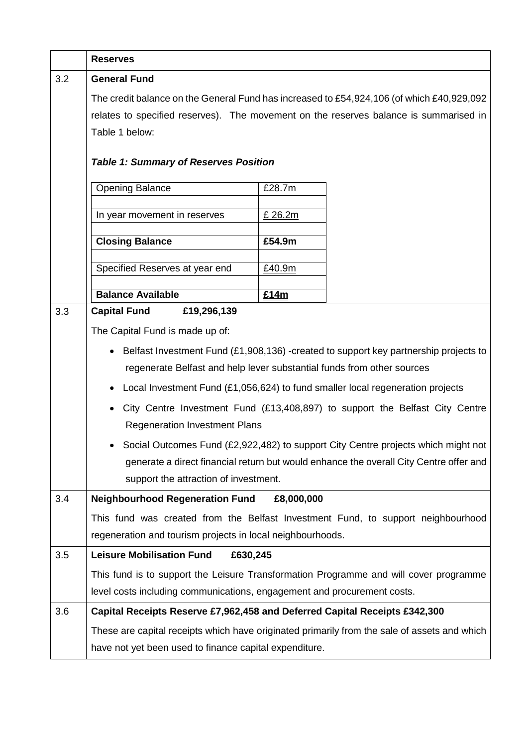|     | <b>Reserves</b>                                                                                                                                                             |            |                                                                                                                                                                             |
|-----|-----------------------------------------------------------------------------------------------------------------------------------------------------------------------------|------------|-----------------------------------------------------------------------------------------------------------------------------------------------------------------------------|
| 3.2 | <b>General Fund</b>                                                                                                                                                         |            |                                                                                                                                                                             |
|     | The credit balance on the General Fund has increased to £54,924,106 (of which £40,929,092                                                                                   |            |                                                                                                                                                                             |
|     | relates to specified reserves). The movement on the reserves balance is summarised in                                                                                       |            |                                                                                                                                                                             |
|     | Table 1 below:                                                                                                                                                              |            |                                                                                                                                                                             |
|     | <b>Table 1: Summary of Reserves Position</b>                                                                                                                                |            |                                                                                                                                                                             |
|     | <b>Opening Balance</b>                                                                                                                                                      | £28.7m     |                                                                                                                                                                             |
|     | In year movement in reserves                                                                                                                                                | £ 26.2m    |                                                                                                                                                                             |
|     | <b>Closing Balance</b>                                                                                                                                                      | £54.9m     |                                                                                                                                                                             |
|     | Specified Reserves at year end                                                                                                                                              | £40.9m     |                                                                                                                                                                             |
|     |                                                                                                                                                                             |            |                                                                                                                                                                             |
|     | <b>Balance Available</b>                                                                                                                                                    | £14m       |                                                                                                                                                                             |
| 3.3 | <b>Capital Fund</b><br>£19,296,139                                                                                                                                          |            |                                                                                                                                                                             |
|     | The Capital Fund is made up of:                                                                                                                                             |            |                                                                                                                                                                             |
|     | Belfast Investment Fund (£1,908,136) -created to support key partnership projects to<br>$\bullet$<br>regenerate Belfast and help lever substantial funds from other sources |            |                                                                                                                                                                             |
|     | Local Investment Fund (£1,056,624) to fund smaller local regeneration projects<br>$\bullet$                                                                                 |            |                                                                                                                                                                             |
|     | <b>Regeneration Investment Plans</b>                                                                                                                                        |            | City Centre Investment Fund (£13,408,897) to support the Belfast City Centre                                                                                                |
|     | support the attraction of investment.                                                                                                                                       |            | Social Outcomes Fund (£2,922,482) to support City Centre projects which might not<br>generate a direct financial return but would enhance the overall City Centre offer and |
| 3.4 | <b>Neighbourhood Regeneration Fund</b>                                                                                                                                      | £8,000,000 |                                                                                                                                                                             |
|     | This fund was created from the Belfast Investment Fund, to support neighbourhood                                                                                            |            |                                                                                                                                                                             |
|     | regeneration and tourism projects in local neighbourhoods.                                                                                                                  |            |                                                                                                                                                                             |
| 3.5 | <b>Leisure Mobilisation Fund</b><br>£630,245                                                                                                                                |            |                                                                                                                                                                             |
|     | This fund is to support the Leisure Transformation Programme and will cover programme                                                                                       |            |                                                                                                                                                                             |
|     | level costs including communications, engagement and procurement costs.                                                                                                     |            |                                                                                                                                                                             |
| 3.6 | Capital Receipts Reserve £7,962,458 and Deferred Capital Receipts £342,300                                                                                                  |            |                                                                                                                                                                             |
|     | These are capital receipts which have originated primarily from the sale of assets and which                                                                                |            |                                                                                                                                                                             |
|     | have not yet been used to finance capital expenditure.                                                                                                                      |            |                                                                                                                                                                             |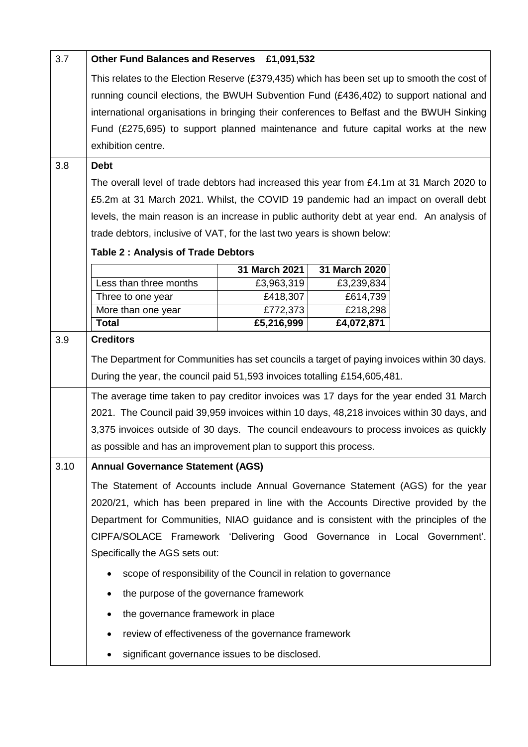| 3.7  | Other Fund Balances and Reserves £1,091,532                                                                                                                                                                                                                                        |               |               |  |
|------|------------------------------------------------------------------------------------------------------------------------------------------------------------------------------------------------------------------------------------------------------------------------------------|---------------|---------------|--|
|      | This relates to the Election Reserve (£379,435) which has been set up to smooth the cost of<br>running council elections, the BWUH Subvention Fund (£436,402) to support national and<br>international organisations in bringing their conferences to Belfast and the BWUH Sinking |               |               |  |
|      | Fund (£275,695) to support planned maintenance and future capital works at the new<br>exhibition centre.                                                                                                                                                                           |               |               |  |
| 3.8  | <b>Debt</b>                                                                                                                                                                                                                                                                        |               |               |  |
|      | The overall level of trade debtors had increased this year from £4.1m at 31 March 2020 to                                                                                                                                                                                          |               |               |  |
|      |                                                                                                                                                                                                                                                                                    |               |               |  |
|      | £5.2m at 31 March 2021. Whilst, the COVID 19 pandemic had an impact on overall debt<br>levels, the main reason is an increase in public authority debt at year end. An analysis of                                                                                                 |               |               |  |
|      | trade debtors, inclusive of VAT, for the last two years is shown below:                                                                                                                                                                                                            |               |               |  |
|      | <b>Table 2: Analysis of Trade Debtors</b>                                                                                                                                                                                                                                          |               |               |  |
|      |                                                                                                                                                                                                                                                                                    | 31 March 2021 | 31 March 2020 |  |
|      | Less than three months                                                                                                                                                                                                                                                             | £3,963,319    | £3,239,834    |  |
|      | Three to one year                                                                                                                                                                                                                                                                  | £418,307      | £614,739      |  |
|      | More than one year                                                                                                                                                                                                                                                                 | £772,373      | £218,298      |  |
|      | <b>Total</b>                                                                                                                                                                                                                                                                       | £5,216,999    | £4,072,871    |  |
| 3.9  | <b>Creditors</b><br>The Department for Communities has set councils a target of paying invoices within 30 days.<br>During the year, the council paid 51,593 invoices totalling £154,605,481.                                                                                       |               |               |  |
|      | The average time taken to pay creditor invoices was 17 days for the year ended 31 March                                                                                                                                                                                            |               |               |  |
|      | 2021. The Council paid 39,959 invoices within 10 days, 48,218 invoices within 30 days, and                                                                                                                                                                                         |               |               |  |
|      | 3,375 invoices outside of 30 days. The council endeavours to process invoices as quickly                                                                                                                                                                                           |               |               |  |
|      | as possible and has an improvement plan to support this process.                                                                                                                                                                                                                   |               |               |  |
| 3.10 | <b>Annual Governance Statement (AGS)</b>                                                                                                                                                                                                                                           |               |               |  |
|      | The Statement of Accounts include Annual Governance Statement (AGS) for the year                                                                                                                                                                                                   |               |               |  |
|      | 2020/21, which has been prepared in line with the Accounts Directive provided by the                                                                                                                                                                                               |               |               |  |
|      | Department for Communities, NIAO guidance and is consistent with the principles of the                                                                                                                                                                                             |               |               |  |
|      | CIPFA/SOLACE Framework 'Delivering Good Governance in Local Government'.                                                                                                                                                                                                           |               |               |  |
|      | Specifically the AGS sets out:                                                                                                                                                                                                                                                     |               |               |  |
|      | scope of responsibility of the Council in relation to governance                                                                                                                                                                                                                   |               |               |  |
|      |                                                                                                                                                                                                                                                                                    |               |               |  |
|      | the purpose of the governance framework                                                                                                                                                                                                                                            |               |               |  |
|      | the governance framework in place                                                                                                                                                                                                                                                  |               |               |  |
|      | review of effectiveness of the governance framework                                                                                                                                                                                                                                |               |               |  |
|      | significant governance issues to be disclosed.                                                                                                                                                                                                                                     |               |               |  |